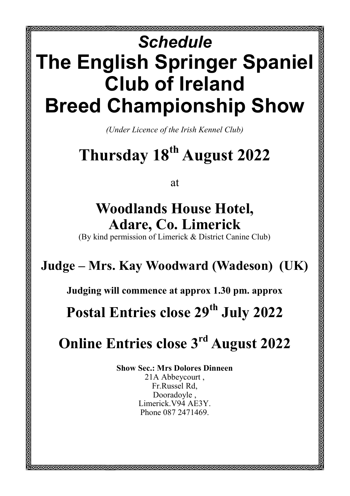# *Schedule* **The English Springer Spaniel Club of Ireland Breed Championship Show**

*(Under Licence of the Irish Kennel Club)*

## **Thursday 18th August 2022**

at

### **Woodlands House Hotel, Adare, Co. Limerick**

(By kind permission of Limerick & District Canine Club)

#### **Judge – Mrs. Kay Woodward (Wadeson) (UK)**

**Judging will commence at approx 1.30 pm. approx**

**Postal Entries close 29th July 2022**

### **Online Entries close 3rd August 2022**

**Show Sec.: Mrs Dolores Dinneen** 21A Abbeycourt , Fr.Russel Rd, Dooradoyle , Limerick.V94 AE3Y. Phone 087 2471469.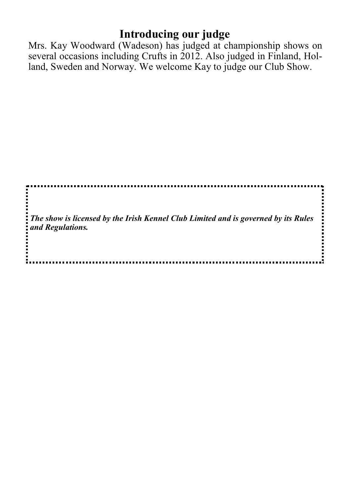#### **Introducing our judge**

Mrs. Kay Woodward (Wadeson) has judged at championship shows on several occasions including Crufts in 2012. Also judged in Finland, Holland, Sweden and Norway. We welcome Kay to judge our Club Show.

İ *The show is licensed by the Irish Kennel Club Limited and is governed by its Rules*  ......... *and Regulations.*